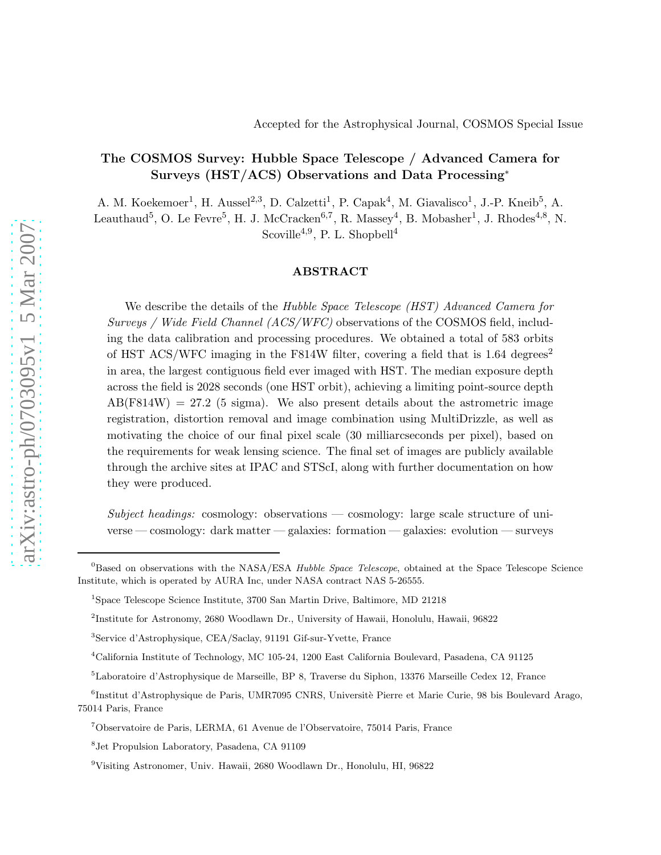## The COSMOS Survey: Hubble Space Telescope / Advanced Camera for Surveys (HST/ACS) Observations and Data Processing<sup>∗</sup>

A. M. Koekemoer<sup>1</sup>, H. Aussel<sup>2,3</sup>, D. Calzetti<sup>1</sup>, P. Capak<sup>4</sup>, M. Giavalisco<sup>1</sup>, J.-P. Kneib<sup>5</sup>, A. Leauthaud<sup>5</sup>, O. Le Fevre<sup>5</sup>, H. J. McCracken<sup>6,7</sup>, R. Massey<sup>4</sup>, B. Mobasher<sup>1</sup>, J. Rhodes<sup>4,8</sup>, N.

Scoville<sup>4,9</sup>, P. L. Shopbell<sup>4</sup>

## ABSTRACT

We describe the details of the Hubble Space Telescope *(HST)* Advanced Camera for Surveys / Wide Field Channel (ACS/WFC) observations of the COSMOS field, including the data calibration and processing procedures. We obtained a total of 583 orbits of HST ACS/WFC imaging in the F814W filter, covering a field that is  $1.64 \text{ degrees}^2$ in area, the largest contiguous field ever imaged with HST. The median exposure depth across the field is 2028 seconds (one HST orbit), achieving a limiting point-source depth  $AB(F814W) = 27.2$  (5 sigma). We also present details about the astrometric image registration, distortion removal and image combination using MultiDrizzle, as well as motivating the choice of our final pixel scale (30 milliarcseconds per pixel), based on the requirements for weak lensing science. The final set of images are publicly available through the archive sites at IPAC and STScI, along with further documentation on how they were produced.

Subject headings: cosmology: observations — cosmology: large scale structure of universe — cosmology: dark matter — galaxies: formation — galaxies: evolution — surveys

 $^{0}$ Based on observations with the NASA/ESA *Hubble Space Telescope*, obtained at the Space Telescope Science Institute, which is operated by AURA Inc, under NASA contract NAS 5-26555.

<sup>1</sup> Space Telescope Science Institute, 3700 San Martin Drive, Baltimore, MD 21218

<sup>2</sup> Institute for Astronomy, 2680 Woodlawn Dr., University of Hawaii, Honolulu, Hawaii, 96822

<sup>3</sup> Service d'Astrophysique, CEA/Saclay, 91191 Gif-sur-Yvette, France

<sup>4</sup>California Institute of Technology, MC 105-24, 1200 East California Boulevard, Pasadena, CA 91125

<sup>5</sup>Laboratoire d'Astrophysique de Marseille, BP 8, Traverse du Siphon, 13376 Marseille Cedex 12, France

<sup>&</sup>lt;sup>6</sup>Institut d'Astrophysique de Paris, UMR7095 CNRS, Universitè Pierre et Marie Curie, 98 bis Boulevard Arago, 75014 Paris, France

<sup>7</sup>Observatoire de Paris, LERMA, 61 Avenue de l'Observatoire, 75014 Paris, France

<sup>8</sup> Jet Propulsion Laboratory, Pasadena, CA 91109

<sup>9</sup>Visiting Astronomer, Univ. Hawaii, 2680 Woodlawn Dr., Honolulu, HI, 96822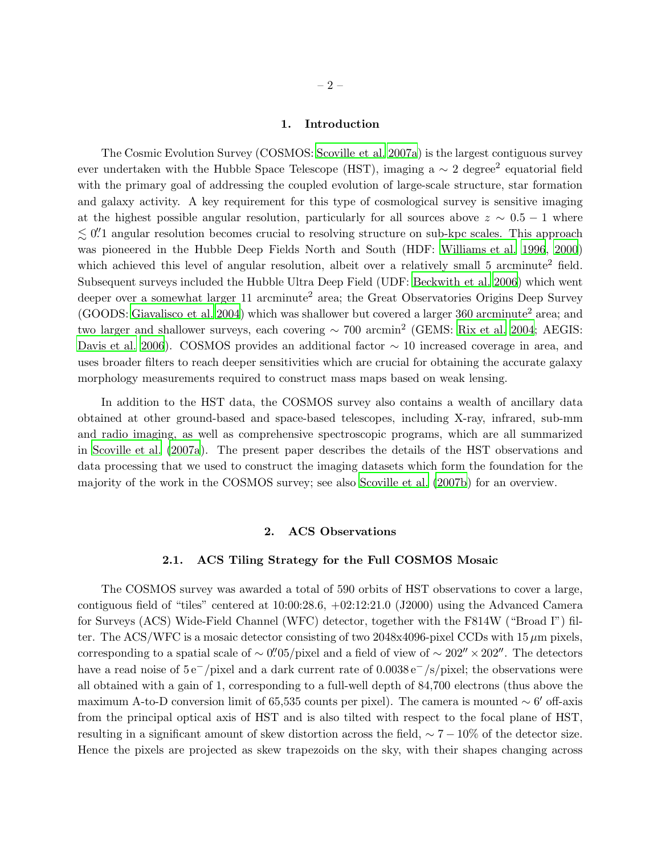#### 1. Introduction

The Cosmic Evolution Survey (COSMOS: [Scoville et al. 2007a](#page-11-0)) is the largest contiguous survey ever undertaken with the Hubble Space Telescope (HST), imaging a  $\sim 2$  degree<sup>2</sup> equatorial field with the primary goal of addressing the coupled evolution of large-scale structure, star formation and galaxy activity. A key requirement for this type of cosmological survey is sensitive imaging at the highest possible angular resolution, particularly for all sources above  $z \sim 0.5 - 1$  where  $\lesssim$  0. 0. This approach angular resolution becomes crucial to resolving structure on sub-kpc scales. This approach was pioneered in the Hubble Deep Fields North and South (HDF: [Williams et al. 1996](#page-11-1), [2000\)](#page-11-2) which achieved this level of angular resolution, albeit over a relatively small 5 arcminute<sup>2</sup> field. Subsequent surveys included the Hubble Ultra Deep Field (UDF: [Beckwith et al. 2006](#page-10-0)) which went deeper over a somewhat larger 11 arcminute<sup>2</sup> area; the Great Observatories Origins Deep Survey (GOODS: [Giavalisco et al. 2004](#page-10-1)) which was shallower but covered a larger 360 arcminute<sup>2</sup> area; and two larger and shallower surveys, each covering ∼ 700 arcmin<sup>2</sup> (GEMS: [Rix et al. 2004](#page-10-2); AEGIS: [Davis et al. 2006](#page-10-3)). COSMOS provides an additional factor ∼ 10 increased coverage in area, and uses broader filters to reach deeper sensitivities which are crucial for obtaining the accurate galaxy morphology measurements required to construct mass maps based on weak lensing.

In addition to the HST data, the COSMOS survey also contains a wealth of ancillary data obtained at other ground-based and space-based telescopes, including X-ray, infrared, sub-mm and radio imaging, as well as comprehensive spectroscopic programs, which are all summarized in [Scoville et al. \(2007a](#page-11-0)). The present paper describes the details of the HST observations and data processing that we used to construct the imaging datasets which form the foundation for the majority of the work in the COSMOS survey; see also [Scoville et al. \(2007b\)](#page-11-3) for an overview.

## 2. ACS Observations

#### 2.1. ACS Tiling Strategy for the Full COSMOS Mosaic

The COSMOS survey was awarded a total of 590 orbits of HST observations to cover a large, contiguous field of "tiles" centered at 10:00:28.6, +02:12:21.0 (J2000) using the Advanced Camera for Surveys (ACS) Wide-Field Channel (WFC) detector, together with the F814W ("Broad I") filter. The ACS/WFC is a mosaic detector consisting of two 2048x4096-pixel CCDs with  $15 \,\mu m$  pixels. corresponding to a spatial scale of  $\sim 0''$ .  $\frac{1}{2}$  and a field of view of  $\sim 202'' \times 202''$ . The detectors have a read noise of 5 e−/pixel and a dark current rate of 0.0038 e−/s/pixel; the observations were all obtained with a gain of 1, corresponding to a full-well depth of 84,700 electrons (thus above the maximum A-to-D conversion limit of 65,535 counts per pixel). The camera is mounted  $\sim 6'$  off-axis from the principal optical axis of HST and is also tilted with respect to the focal plane of HST, resulting in a significant amount of skew distortion across the field,  $\sim 7 - 10\%$  of the detector size. Hence the pixels are projected as skew trapezoids on the sky, with their shapes changing across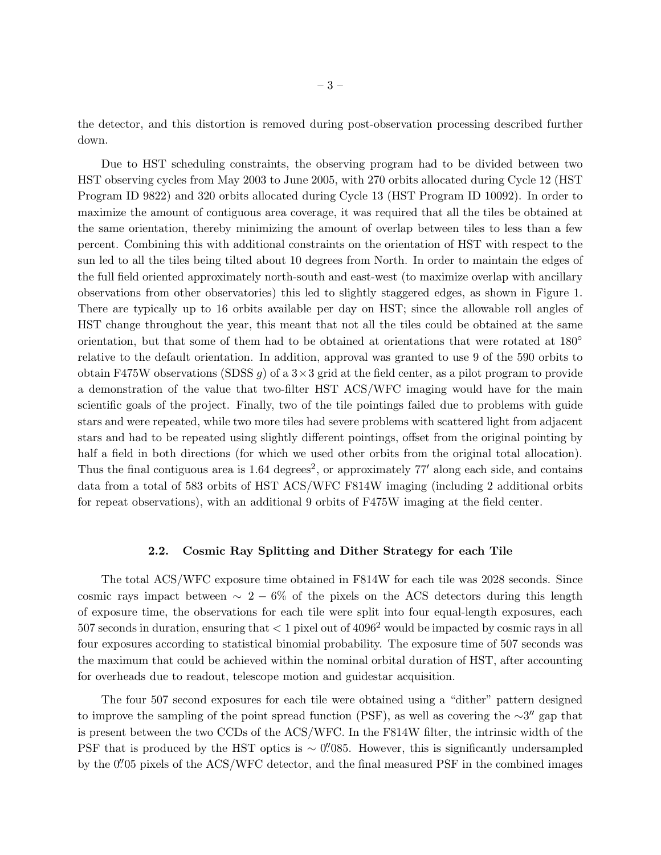the detector, and this distortion is removed during post-observation processing described further down.

Due to HST scheduling constraints, the observing program had to be divided between two HST observing cycles from May 2003 to June 2005, with 270 orbits allocated during Cycle 12 (HST Program ID 9822) and 320 orbits allocated during Cycle 13 (HST Program ID 10092). In order to maximize the amount of contiguous area coverage, it was required that all the tiles be obtained at the same orientation, thereby minimizing the amount of overlap between tiles to less than a few percent. Combining this with additional constraints on the orientation of HST with respect to the sun led to all the tiles being tilted about 10 degrees from North. In order to maintain the edges of the full field oriented approximately north-south and east-west (to maximize overlap with ancillary observations from other observatories) this led to slightly staggered edges, as shown in Figure 1. There are typically up to 16 orbits available per day on HST; since the allowable roll angles of HST change throughout the year, this meant that not all the tiles could be obtained at the same orientation, but that some of them had to be obtained at orientations that were rotated at 180◦ relative to the default orientation. In addition, approval was granted to use 9 of the 590 orbits to obtain F475W observations (SDSS g) of a  $3 \times 3$  grid at the field center, as a pilot program to provide a demonstration of the value that two-filter HST ACS/WFC imaging would have for the main scientific goals of the project. Finally, two of the tile pointings failed due to problems with guide stars and were repeated, while two more tiles had severe problems with scattered light from adjacent stars and had to be repeated using slightly different pointings, offset from the original pointing by half a field in both directions (for which we used other orbits from the original total allocation). Thus the final contiguous area is  $1.64 \text{ degrees}^2$ , or approximately 77' along each side, and contains data from a total of 583 orbits of HST ACS/WFC F814W imaging (including 2 additional orbits for repeat observations), with an additional 9 orbits of F475W imaging at the field center.

## 2.2. Cosmic Ray Splitting and Dither Strategy for each Tile

The total ACS/WFC exposure time obtained in F814W for each tile was 2028 seconds. Since cosmic rays impact between  $\sim 2-6\%$  of the pixels on the ACS detectors during this length of exposure time, the observations for each tile were split into four equal-length exposures, each 507 seconds in duration, ensuring that  $< 1$  pixel out of 4096<sup>2</sup> would be impacted by cosmic rays in all four exposures according to statistical binomial probability. The exposure time of 507 seconds was the maximum that could be achieved within the nominal orbital duration of HST, after accounting for overheads due to readout, telescope motion and guidestar acquisition.

The four 507 second exposures for each tile were obtained using a "dither" pattern designed to improve the sampling of the point spread function (PSF), as well as covering the ∼3" gap that is present between the two CCDs of the ACS/WFC. In the F814W filter, the intrinsic width of the PSF that is produced by the HST optics is  $\sim$  0''.085. However, this is significantly undersampled by the 0. 05 pixels of the ACS/WFC detector, and the final measured PSF in the combined images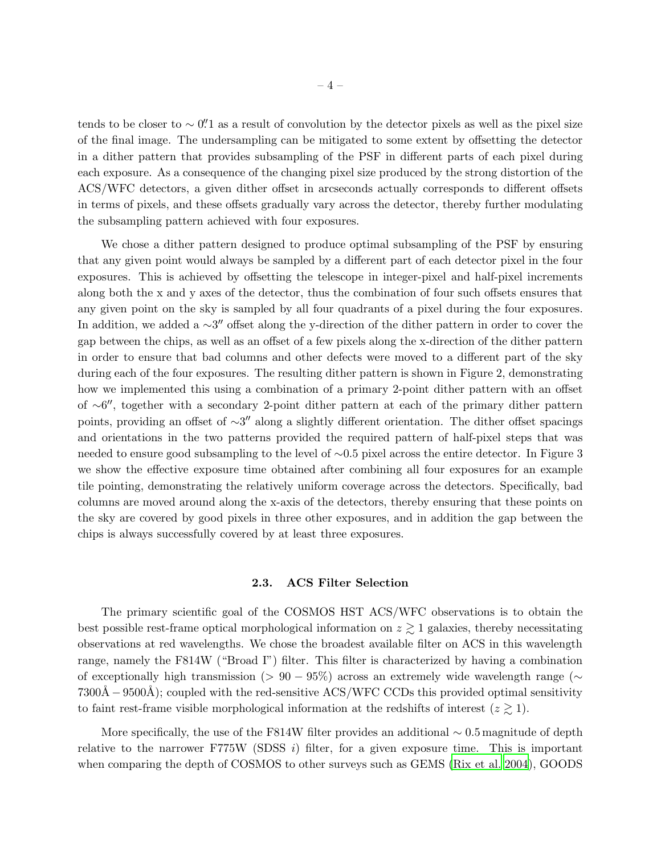tends to be closer to  $\sim 0$ .<sup>"</sup> as a result of convolution by the detector pixels as well as the pixel size of the final image. The undersampling can be mitigated to some extent by offsetting the detector in a dither pattern that provides subsampling of the PSF in different parts of each pixel during each exposure. As a consequence of the changing pixel size produced by the strong distortion of the ACS/WFC detectors, a given dither offset in arcseconds actually corresponds to different offsets in terms of pixels, and these offsets gradually vary across the detector, thereby further modulating the subsampling pattern achieved with four exposures.

We chose a dither pattern designed to produce optimal subsampling of the PSF by ensuring that any given point would always be sampled by a different part of each detector pixel in the four exposures. This is achieved by offsetting the telescope in integer-pixel and half-pixel increments along both the x and y axes of the detector, thus the combination of four such offsets ensures that any given point on the sky is sampled by all four quadrants of a pixel during the four exposures. In addition, we added a  $\sim$ 3" offset along the y-direction of the dither pattern in order to cover the gap between the chips, as well as an offset of a few pixels along the x-direction of the dither pattern in order to ensure that bad columns and other defects were moved to a different part of the sky during each of the four exposures. The resulting dither pattern is shown in Figure 2, demonstrating how we implemented this using a combination of a primary 2-point dither pattern with an offset of ∼6 ′′, together with a secondary 2-point dither pattern at each of the primary dither pattern points, providing an offset of ∼3" along a slightly different orientation. The dither offset spacings and orientations in the two patterns provided the required pattern of half-pixel steps that was needed to ensure good subsampling to the level of ∼0.5 pixel across the entire detector. In Figure 3 we show the effective exposure time obtained after combining all four exposures for an example tile pointing, demonstrating the relatively uniform coverage across the detectors. Specifically, bad columns are moved around along the x-axis of the detectors, thereby ensuring that these points on the sky are covered by good pixels in three other exposures, and in addition the gap between the chips is always successfully covered by at least three exposures.

#### 2.3. ACS Filter Selection

The primary scientific goal of the COSMOS HST ACS/WFC observations is to obtain the best possible rest-frame optical morphological information on  $z \gtrsim 1$  galaxies, thereby necessitating observations at red wavelengths. We chose the broadest available filter on ACS in this wavelength range, namely the F814W ("Broad I") filter. This filter is characterized by having a combination of exceptionally high transmission (>  $90 - 95\%$ ) across an extremely wide wavelength range ( $\sim$  $7300\text{\AA} - 9500\text{\AA}$ ; coupled with the red-sensitive ACS/WFC CCDs this provided optimal sensitivity to faint rest-frame visible morphological information at the redshifts of interest  $(z \ge 1)$ .

More specifically, the use of the F814W filter provides an additional  $\sim 0.5$  magnitude of depth relative to the narrower F775W (SDSS  $i$ ) filter, for a given exposure time. This is important when comparing the depth of COSMOS to other surveys such as GEMS [\(Rix et al. 2004](#page-10-2)), GOODS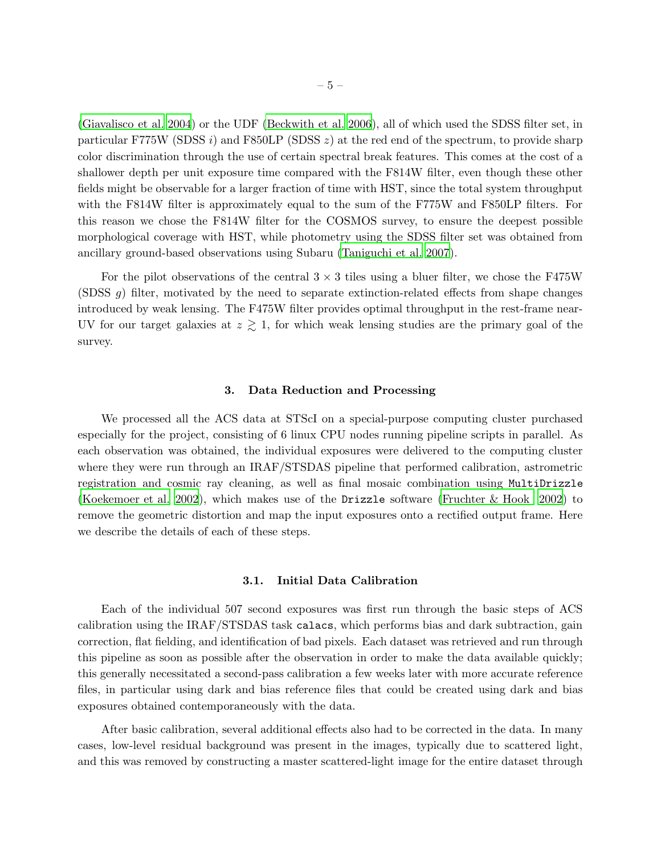[\(Giavalisco et al. 2004](#page-10-1)) or the UDF [\(Beckwith et al. 2006](#page-10-0)), all of which used the SDSS filter set, in particular F775W (SDSS i) and F850LP (SDSS  $z$ ) at the red end of the spectrum, to provide sharp color discrimination through the use of certain spectral break features. This comes at the cost of a shallower depth per unit exposure time compared with the F814W filter, even though these other fields might be observable for a larger fraction of time with HST, since the total system throughput with the F814W filter is approximately equal to the sum of the F775W and F850LP filters. For this reason we chose the F814W filter for the COSMOS survey, to ensure the deepest possible morphological coverage with HST, while photometry using the SDSS filter set was obtained from ancillary ground-based observations using Subaru [\(Taniguchi et al. 2007](#page-11-4)).

For the pilot observations of the central  $3 \times 3$  tiles using a bluer filter, we chose the F475W (SDSS g) filter, motivated by the need to separate extinction-related effects from shape changes introduced by weak lensing. The F475W filter provides optimal throughput in the rest-frame near-UV for our target galaxies at  $z \gtrsim 1$ , for which weak lensing studies are the primary goal of the survey.

### 3. Data Reduction and Processing

We processed all the ACS data at STScI on a special-purpose computing cluster purchased especially for the project, consisting of 6 linux CPU nodes running pipeline scripts in parallel. As each observation was obtained, the individual exposures were delivered to the computing cluster where they were run through an IRAF/STSDAS pipeline that performed calibration, astrometric registration and cosmic ray cleaning, as well as final mosaic combination using MultiDrizzle [\(Koekemoer et al. 2002](#page-10-4)), which makes use of the Drizzle software [\(Fruchter & Hook 2002](#page-10-5)) to remove the geometric distortion and map the input exposures onto a rectified output frame. Here we describe the details of each of these steps.

#### 3.1. Initial Data Calibration

Each of the individual 507 second exposures was first run through the basic steps of ACS calibration using the IRAF/STSDAS task calacs, which performs bias and dark subtraction, gain correction, flat fielding, and identification of bad pixels. Each dataset was retrieved and run through this pipeline as soon as possible after the observation in order to make the data available quickly; this generally necessitated a second-pass calibration a few weeks later with more accurate reference files, in particular using dark and bias reference files that could be created using dark and bias exposures obtained contemporaneously with the data.

After basic calibration, several additional effects also had to be corrected in the data. In many cases, low-level residual background was present in the images, typically due to scattered light, and this was removed by constructing a master scattered-light image for the entire dataset through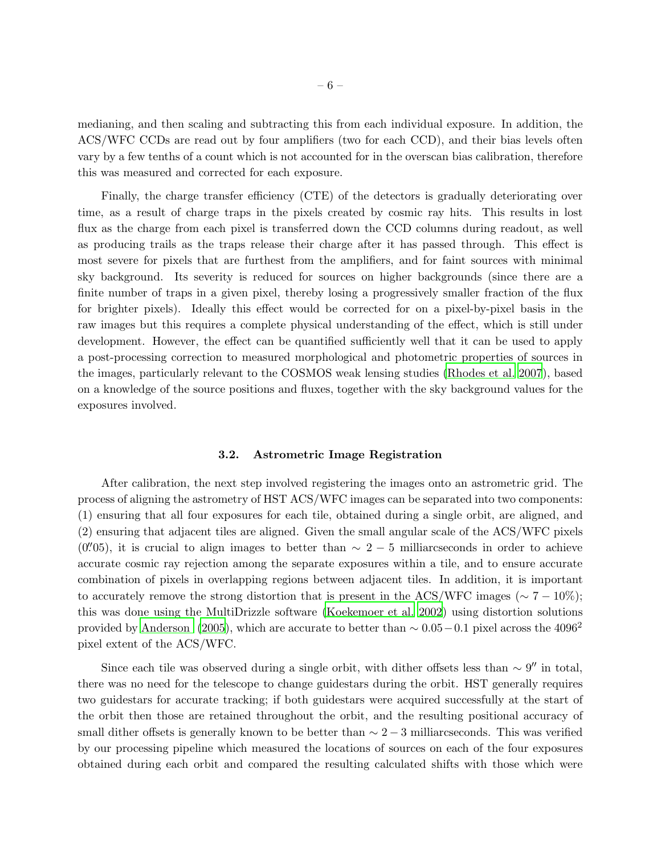medianing, and then scaling and subtracting this from each individual exposure. In addition, the ACS/WFC CCDs are read out by four amplifiers (two for each CCD), and their bias levels often vary by a few tenths of a count which is not accounted for in the overscan bias calibration, therefore this was measured and corrected for each exposure.

Finally, the charge transfer efficiency (CTE) of the detectors is gradually deteriorating over time, as a result of charge traps in the pixels created by cosmic ray hits. This results in lost flux as the charge from each pixel is transferred down the CCD columns during readout, as well as producing trails as the traps release their charge after it has passed through. This effect is most severe for pixels that are furthest from the amplifiers, and for faint sources with minimal sky background. Its severity is reduced for sources on higher backgrounds (since there are a finite number of traps in a given pixel, thereby losing a progressively smaller fraction of the flux for brighter pixels). Ideally this effect would be corrected for on a pixel-by-pixel basis in the raw images but this requires a complete physical understanding of the effect, which is still under development. However, the effect can be quantified sufficiently well that it can be used to apply a post-processing correction to measured morphological and photometric properties of sources in the images, particularly relevant to the COSMOS weak lensing studies [\(Rhodes et al. 2007](#page-10-6)), based on a knowledge of the source positions and fluxes, together with the sky background values for the exposures involved.

#### 3.2. Astrometric Image Registration

After calibration, the next step involved registering the images onto an astrometric grid. The process of aligning the astrometry of HST ACS/WFC images can be separated into two components: (1) ensuring that all four exposures for each tile, obtained during a single orbit, are aligned, and (2) ensuring that adjacent tiles are aligned. Given the small angular scale of the ACS/WFC pixels  $(0''05)$ , it is crucial to align images to better than  $\sim 2-5$  milliarcseconds in order to achieve accurate cosmic ray rejection among the separate exposures within a tile, and to ensure accurate combination of pixels in overlapping regions between adjacent tiles. In addition, it is important to accurately remove the strong distortion that is present in the ACS/WFC images ( $\sim 7 - 10\%$ ); this was done using the MultiDrizzle software [\(Koekemoer et](#page-10-4) al. [2002\)](#page-10-4) using distortion solutions provided by [Anderson \(2005](#page-10-7)), which are accurate to better than  $\sim 0.05-0.1$  pixel across the 4096<sup>2</sup> pixel extent of the ACS/WFC.

Since each tile was observed during a single orbit, with dither offsets less than  $\sim 9''$  in total, there was no need for the telescope to change guidestars during the orbit. HST generally requires two guidestars for accurate tracking; if both guidestars were acquired successfully at the start of the orbit then those are retained throughout the orbit, and the resulting positional accuracy of small dither offsets is generally known to be better than  $\sim 2 - 3$  milliarcseconds. This was verified by our processing pipeline which measured the locations of sources on each of the four exposures obtained during each orbit and compared the resulting calculated shifts with those which were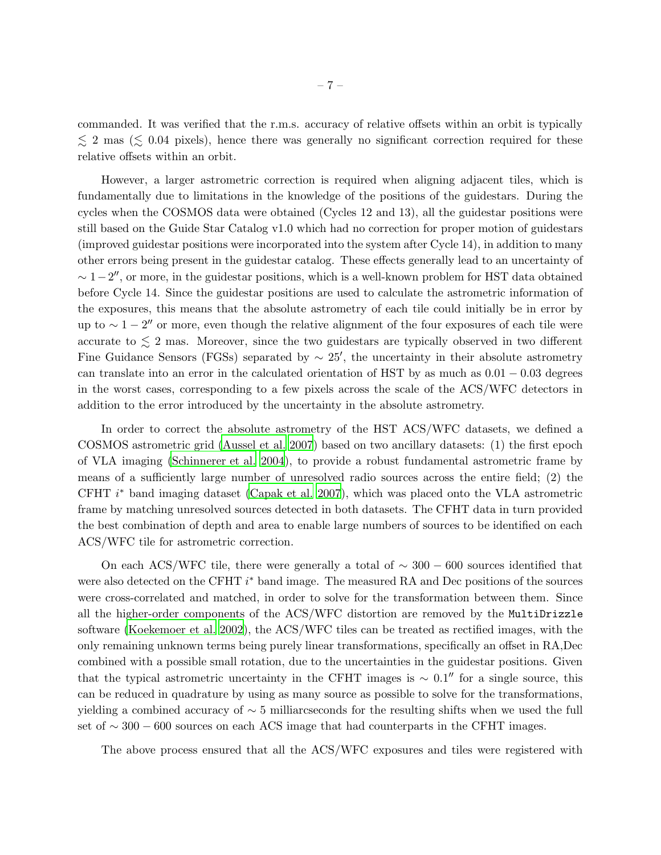commanded. It was verified that the r.m.s. accuracy of relative offsets within an orbit is typically  $\lesssim$  2 mas ( $\lesssim$  0.04 pixels), hence there was generally no significant correction required for these relative offsets within an orbit.

However, a larger astrometric correction is required when aligning adjacent tiles, which is fundamentally due to limitations in the knowledge of the positions of the guidestars. During the cycles when the COSMOS data were obtained (Cycles 12 and 13), all the guidestar positions were still based on the Guide Star Catalog v1.0 which had no correction for proper motion of guidestars (improved guidestar positions were incorporated into the system after Cycle 14), in addition to many other errors being present in the guidestar catalog. These effects generally lead to an uncertainty of  $\sim 1-2''$ , or more, in the guidestar positions, which is a well-known problem for HST data obtained before Cycle 14. Since the guidestar positions are used to calculate the astrometric information of the exposures, this means that the absolute astrometry of each tile could initially be in error by up to  $\sim 1-2''$  or more, even though the relative alignment of the four exposures of each tile were accurate to  $\leq 2$  mas. Moreover, since the two guidestars are typically observed in two different Fine Guidance Sensors (FGSs) separated by  $\sim 25'$ , the uncertainty in their absolute astrometry can translate into an error in the calculated orientation of HST by as much as  $0.01 - 0.03$  degrees in the worst cases, corresponding to a few pixels across the scale of the ACS/WFC detectors in addition to the error introduced by the uncertainty in the absolute astrometry.

In order to correct the absolute astrometry of the HST ACS/WFC datasets, we defined a COSMOS astrometric grid [\(Aussel et al. 2007](#page-10-8)) based on two ancillary datasets: (1) the first epoch of VLA imaging [\(Schinnerer et al. 2004](#page-11-5)), to provide a robust fundamental astrometric frame by means of a sufficiently large number of unresolved radio sources across the entire field; (2) the CFHT  $i^*$  band imaging dataset [\(Capak et al. 2007\)](#page-10-9), which was placed onto the VLA astrometric frame by matching unresolved sources detected in both datasets. The CFHT data in turn provided the best combination of depth and area to enable large numbers of sources to be identified on each ACS/WFC tile for astrometric correction.

On each ACS/WFC tile, there were generally a total of  $\sim 300 - 600$  sources identified that were also detected on the CFHT  $i^*$  band image. The measured RA and Dec positions of the sources were cross-correlated and matched, in order to solve for the transformation between them. Since all the higher-order components of the ACS/WFC distortion are removed by the MultiDrizzle software [\(Koekemoer et al. 2002](#page-10-4)), the ACS/WFC tiles can be treated as rectified images, with the only remaining unknown terms being purely linear transformations, specifically an offset in RA,Dec combined with a possible small rotation, due to the uncertainties in the guidestar positions. Given that the typical astrometric uncertainty in the CFHT images is  $\sim 0.1''$  for a single source, this can be reduced in quadrature by using as many source as possible to solve for the transformations, yielding a combined accuracy of  $\sim$  5 milliarcseconds for the resulting shifts when we used the full set of  $\sim 300 - 600$  sources on each ACS image that had counterparts in the CFHT images.

The above process ensured that all the ACS/WFC exposures and tiles were registered with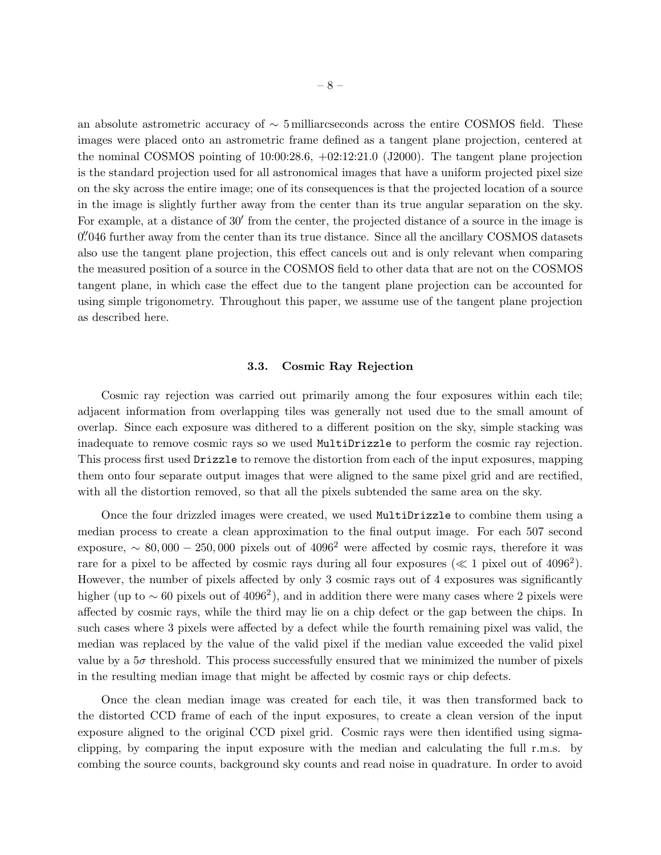an absolute astrometric accuracy of  $\sim$  5 milliarcseconds across the entire COSMOS field. These images were placed onto an astrometric frame defined as a tangent plane projection, centered at the nominal COSMOS pointing of 10:00:28.6, +02:12:21.0 (J2000). The tangent plane projection is the standard projection used for all astronomical images that have a uniform projected pixel size on the sky across the entire image; one of its consequences is that the projected location of a source in the image is slightly further away from the center than its true angular separation on the sky. For example, at a distance of 30' from the center, the projected distance of a source in the image is 0.<br>
0. 046 further away from the center than its true distance. Since all the ancillary COSMOS datasets also use the tangent plane projection, this effect cancels out and is only relevant when comparing the measured position of a source in the COSMOS field to other data that are not on the COSMOS tangent plane, in which case the effect due to the tangent plane projection can be accounted for using simple trigonometry. Throughout this paper, we assume use of the tangent plane projection as described here.

#### 3.3. Cosmic Ray Rejection

Cosmic ray rejection was carried out primarily among the four exposures within each tile; adjacent information from overlapping tiles was generally not used due to the small amount of overlap. Since each exposure was dithered to a different position on the sky, simple stacking was inadequate to remove cosmic rays so we used MultiDrizzle to perform the cosmic ray rejection. This process first used Drizzle to remove the distortion from each of the input exposures, mapping them onto four separate output images that were aligned to the same pixel grid and are rectified, with all the distortion removed, so that all the pixels subtended the same area on the sky.

Once the four drizzled images were created, we used MultiDrizzle to combine them using a median process to create a clean approximation to the final output image. For each 507 second exposure,  $\sim 80,000 - 250,000$  pixels out of 4096<sup>2</sup> were affected by cosmic rays, therefore it was rare for a pixel to be affected by cosmic rays during all four exposures ( $\ll 1$  pixel out of 4096<sup>2</sup>). However, the number of pixels affected by only 3 cosmic rays out of 4 exposures was significantly higher (up to  $\sim 60$  pixels out of 4096<sup>2</sup>), and in addition there were many cases where 2 pixels were affected by cosmic rays, while the third may lie on a chip defect or the gap between the chips. In such cases where 3 pixels were affected by a defect while the fourth remaining pixel was valid, the median was replaced by the value of the valid pixel if the median value exceeded the valid pixel value by a  $5\sigma$  threshold. This process successfully ensured that we minimized the number of pixels in the resulting median image that might be affected by cosmic rays or chip defects.

Once the clean median image was created for each tile, it was then transformed back to the distorted CCD frame of each of the input exposures, to create a clean version of the input exposure aligned to the original CCD pixel grid. Cosmic rays were then identified using sigmaclipping, by comparing the input exposure with the median and calculating the full r.m.s. by combing the source counts, background sky counts and read noise in quadrature. In order to avoid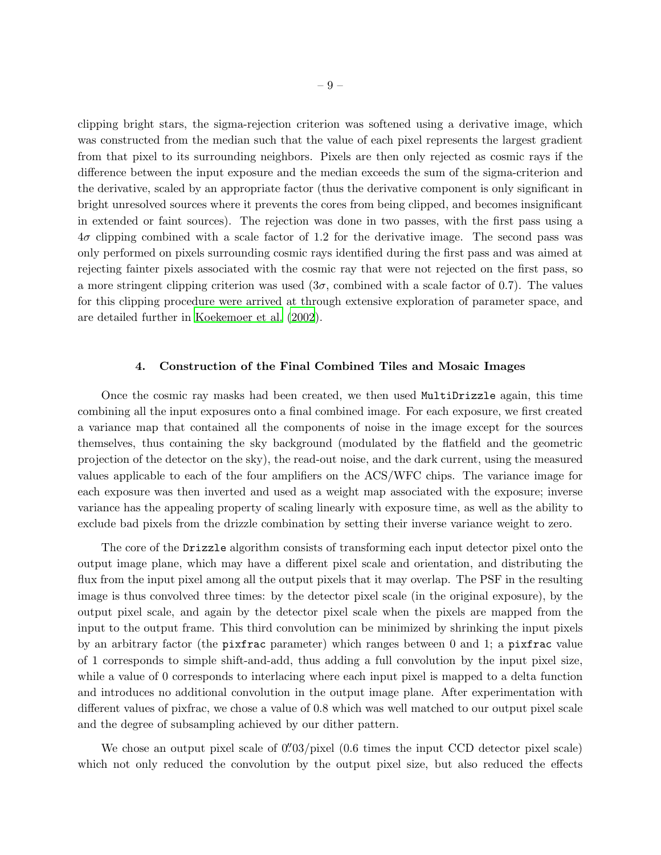clipping bright stars, the sigma-rejection criterion was softened using a derivative image, which was constructed from the median such that the value of each pixel represents the largest gradient from that pixel to its surrounding neighbors. Pixels are then only rejected as cosmic rays if the difference between the input exposure and the median exceeds the sum of the sigma-criterion and the derivative, scaled by an appropriate factor (thus the derivative component is only significant in bright unresolved sources where it prevents the cores from being clipped, and becomes insignificant in extended or faint sources). The rejection was done in two passes, with the first pass using a  $4\sigma$  clipping combined with a scale factor of 1.2 for the derivative image. The second pass was only performed on pixels surrounding cosmic rays identified during the first pass and was aimed at rejecting fainter pixels associated with the cosmic ray that were not rejected on the first pass, so a more stringent clipping criterion was used  $(3\sigma,$  combined with a scale factor of 0.7). The values for this clipping procedure were arrived at through extensive exploration of parameter space, and are detailed further in [Koekemoer et al. \(2002\)](#page-10-4).

#### 4. Construction of the Final Combined Tiles and Mosaic Images

Once the cosmic ray masks had been created, we then used MultiDrizzle again, this time combining all the input exposures onto a final combined image. For each exposure, we first created a variance map that contained all the components of noise in the image except for the sources themselves, thus containing the sky background (modulated by the flatfield and the geometric projection of the detector on the sky), the read-out noise, and the dark current, using the measured values applicable to each of the four amplifiers on the ACS/WFC chips. The variance image for each exposure was then inverted and used as a weight map associated with the exposure; inverse variance has the appealing property of scaling linearly with exposure time, as well as the ability to exclude bad pixels from the drizzle combination by setting their inverse variance weight to zero.

The core of the Drizzle algorithm consists of transforming each input detector pixel onto the output image plane, which may have a different pixel scale and orientation, and distributing the flux from the input pixel among all the output pixels that it may overlap. The PSF in the resulting image is thus convolved three times: by the detector pixel scale (in the original exposure), by the output pixel scale, and again by the detector pixel scale when the pixels are mapped from the input to the output frame. This third convolution can be minimized by shrinking the input pixels by an arbitrary factor (the pixfrac parameter) which ranges between 0 and 1; a pixfrac value of 1 corresponds to simple shift-and-add, thus adding a full convolution by the input pixel size, while a value of 0 corresponds to interlacing where each input pixel is mapped to a delta function and introduces no additional convolution in the output image plane. After experimentation with different values of pixfrac, we chose a value of 0.8 which was well matched to our output pixel scale and the degree of subsampling achieved by our dither pattern.

We chose an output pixel scale of  $0''03/p$ ixel  $(0.6 \text{ times the input CCD detector pixel scale})$ which not only reduced the convolution by the output pixel size, but also reduced the effects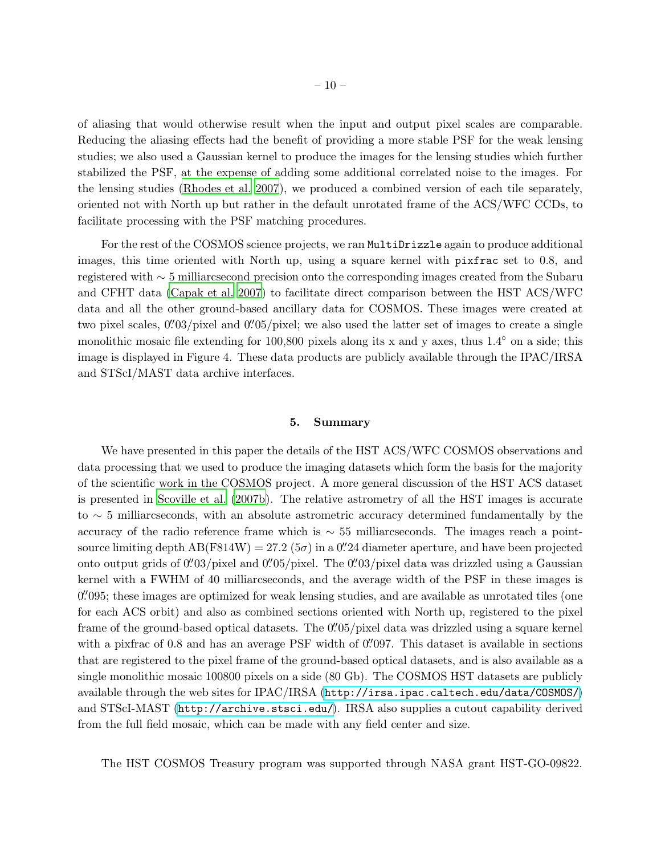of aliasing that would otherwise result when the input and output pixel scales are comparable. Reducing the aliasing effects had the benefit of providing a more stable PSF for the weak lensing studies; we also used a Gaussian kernel to produce the images for the lensing studies which further stabilized the PSF, at the expense of adding some additional correlated noise to the images. For the lensing studies [\(Rhodes et al. 2007](#page-10-6)), we produced a combined version of each tile separately, oriented not with North up but rather in the default unrotated frame of the ACS/WFC CCDs, to facilitate processing with the PSF matching procedures.

For the rest of the COSMOS science projects, we ran MultiDrizzle again to produce additional images, this time oriented with North up, using a square kernel with pixfrac set to 0.8, and registered with ∼ 5 milliarcsecond precision onto the corresponding images created from the Subaru and CFHT data [\(Capak et al. 2007](#page-10-9)) to facilitate direct comparison between the HST ACS/WFC data and all the other ground-based ancillary data for COSMOS. These images were created at two pixel scales,  $0''03/p$ ixel and  $0''05/p$ ixel; we also used the latter set of images to create a single monolithic mosaic file extending for 100,800 pixels along its x and y axes, thus 1.4° on a side; this image is displayed in Figure 4. These data products are publicly available through the IPAC/IRSA and STScI/MAST data archive interfaces.

## 5. Summary

We have presented in this paper the details of the HST ACS/WFC COSMOS observations and data processing that we used to produce the imaging datasets which form the basis for the majority of the scientific work in the COSMOS project. A more general discussion of the HST ACS dataset is presented in [Scoville et al. \(2007b](#page-11-3)). The relative astrometry of all the HST images is accurate to ∼ 5 milliarcseconds, with an absolute astrometric accuracy determined fundamentally by the accuracy of the radio reference frame which is  $\sim$  55 milliarcseconds. The images reach a pointsource limiting depth  $AB(F814W) = 27.2 (5\sigma)$  in a 0''.24 diameter aperture, and have been projected onto output grids of  $0''03/p$ ixel and  $0''05/p$ ixel. The  $0''03/p$ ixel data was drizzled using a Gaussian kernel with a FWHM of 40 milliarcseconds, and the average width of the PSF in these images is 0''095; these images are optimized for weak lensing studies, and are available as unrotated tiles (one for each ACS orbit) and also as combined sections oriented with North up, registered to the pixel frame of the ground-based optical datasets. The 0''05/pixel data was drizzled using a square kernel with a pixfrac of 0.8 and has an average PSF width of 0.  $0.97$ . This dataset is available in sections that are registered to the pixel frame of the ground-based optical datasets, and is also available as a single monolithic mosaic 100800 pixels on a side (80 Gb). The COSMOS HST datasets are publicly available through the web sites for IPAC/IRSA (<http://irsa.ipac.caltech.edu/data/COSMOS/>) and STScI-MAST (<http://archive.stsci.edu/>). IRSA also supplies a cutout capability derived from the full field mosaic, which can be made with any field center and size.

The HST COSMOS Treasury program was supported through NASA grant HST-GO-09822.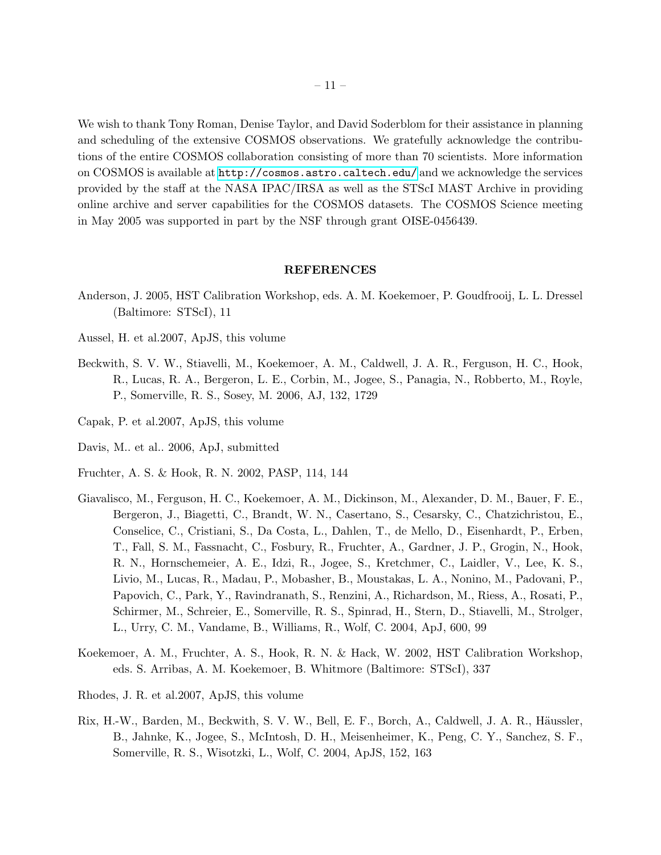We wish to thank Tony Roman, Denise Taylor, and David Soderblom for their assistance in planning and scheduling of the extensive COSMOS observations. We gratefully acknowledge the contributions of the entire COSMOS collaboration consisting of more than 70 scientists. More information on COSMOS is available at <http://cosmos.astro.caltech.edu/> and we acknowledge the services provided by the staff at the NASA IPAC/IRSA as well as the STScI MAST Archive in providing online archive and server capabilities for the COSMOS datasets. The COSMOS Science meeting in May 2005 was supported in part by the NSF through grant OISE-0456439.

#### REFERENCES

- <span id="page-10-7"></span>Anderson, J. 2005, HST Calibration Workshop, eds. A. M. Koekemoer, P. Goudfrooij, L. L. Dressel (Baltimore: STScI), 11
- <span id="page-10-8"></span>Aussel, H. et al.2007, ApJS, this volume
- <span id="page-10-0"></span>Beckwith, S. V. W., Stiavelli, M., Koekemoer, A. M., Caldwell, J. A. R., Ferguson, H. C., Hook, R., Lucas, R. A., Bergeron, L. E., Corbin, M., Jogee, S., Panagia, N., Robberto, M., Royle, P., Somerville, R. S., Sosey, M. 2006, AJ, 132, 1729
- <span id="page-10-9"></span>Capak, P. et al.2007, ApJS, this volume
- <span id="page-10-3"></span>Davis, M.. et al.. 2006, ApJ, submitted
- <span id="page-10-5"></span>Fruchter, A. S. & Hook, R. N. 2002, PASP, 114, 144
- <span id="page-10-1"></span>Giavalisco, M., Ferguson, H. C., Koekemoer, A. M., Dickinson, M., Alexander, D. M., Bauer, F. E., Bergeron, J., Biagetti, C., Brandt, W. N., Casertano, S., Cesarsky, C., Chatzichristou, E., Conselice, C., Cristiani, S., Da Costa, L., Dahlen, T., de Mello, D., Eisenhardt, P., Erben, T., Fall, S. M., Fassnacht, C., Fosbury, R., Fruchter, A., Gardner, J. P., Grogin, N., Hook, R. N., Hornschemeier, A. E., Idzi, R., Jogee, S., Kretchmer, C., Laidler, V., Lee, K. S., Livio, M., Lucas, R., Madau, P., Mobasher, B., Moustakas, L. A., Nonino, M., Padovani, P., Papovich, C., Park, Y., Ravindranath, S., Renzini, A., Richardson, M., Riess, A., Rosati, P., Schirmer, M., Schreier, E., Somerville, R. S., Spinrad, H., Stern, D., Stiavelli, M., Strolger, L., Urry, C. M., Vandame, B., Williams, R., Wolf, C. 2004, ApJ, 600, 99
- <span id="page-10-4"></span>Koekemoer, A. M., Fruchter, A. S., Hook, R. N. & Hack, W. 2002, HST Calibration Workshop, eds. S. Arribas, A. M. Koekemoer, B. Whitmore (Baltimore: STScI), 337
- <span id="page-10-6"></span>Rhodes, J. R. et al.2007, ApJS, this volume
- <span id="page-10-2"></span>Rix, H.-W., Barden, M., Beckwith, S. V. W., Bell, E. F., Borch, A., Caldwell, J. A. R., Häussler, B., Jahnke, K., Jogee, S., McIntosh, D. H., Meisenheimer, K., Peng, C. Y., Sanchez, S. F., Somerville, R. S., Wisotzki, L., Wolf, C. 2004, ApJS, 152, 163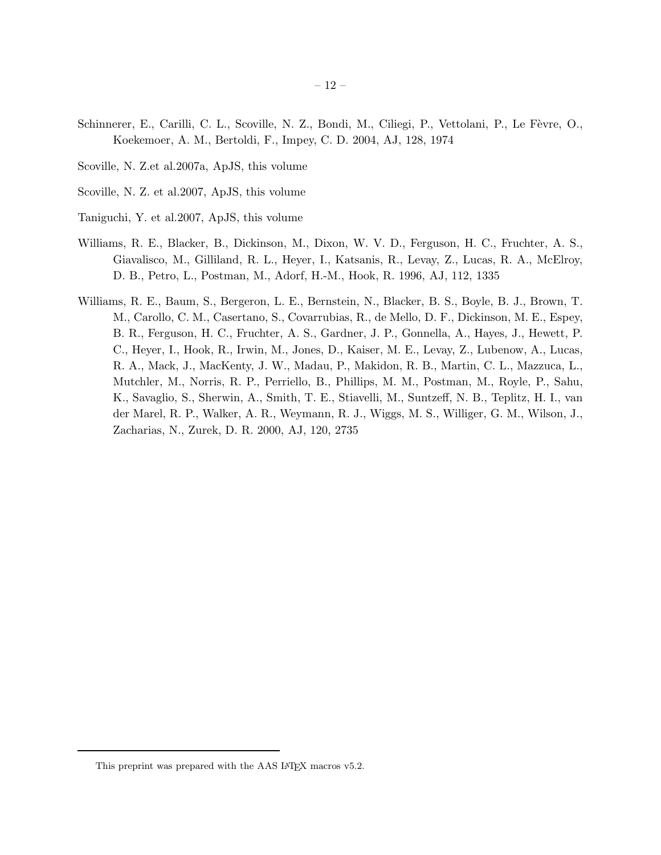- <span id="page-11-5"></span>Schinnerer, E., Carilli, C. L., Scoville, N. Z., Bondi, M., Ciliegi, P., Vettolani, P., Le Fèvre, O., Koekemoer, A. M., Bertoldi, F., Impey, C. D. 2004, AJ, 128, 1974
- <span id="page-11-0"></span>Scoville, N. Z.et al.2007a, ApJS, this volume
- <span id="page-11-3"></span>Scoville, N. Z. et al.2007, ApJS, this volume
- <span id="page-11-4"></span>Taniguchi, Y. et al.2007, ApJS, this volume
- <span id="page-11-1"></span>Williams, R. E., Blacker, B., Dickinson, M., Dixon, W. V. D., Ferguson, H. C., Fruchter, A. S., Giavalisco, M., Gilliland, R. L., Heyer, I., Katsanis, R., Levay, Z., Lucas, R. A., McElroy, D. B., Petro, L., Postman, M., Adorf, H.-M., Hook, R. 1996, AJ, 112, 1335
- <span id="page-11-2"></span>Williams, R. E., Baum, S., Bergeron, L. E., Bernstein, N., Blacker, B. S., Boyle, B. J., Brown, T. M., Carollo, C. M., Casertano, S., Covarrubias, R., de Mello, D. F., Dickinson, M. E., Espey, B. R., Ferguson, H. C., Fruchter, A. S., Gardner, J. P., Gonnella, A., Hayes, J., Hewett, P. C., Heyer, I., Hook, R., Irwin, M., Jones, D., Kaiser, M. E., Levay, Z., Lubenow, A., Lucas, R. A., Mack, J., MacKenty, J. W., Madau, P., Makidon, R. B., Martin, C. L., Mazzuca, L., Mutchler, M., Norris, R. P., Perriello, B., Phillips, M. M., Postman, M., Royle, P., Sahu, K., Savaglio, S., Sherwin, A., Smith, T. E., Stiavelli, M., Suntzeff, N. B., Teplitz, H. I., van der Marel, R. P., Walker, A. R., Weymann, R. J., Wiggs, M. S., Williger, G. M., Wilson, J., Zacharias, N., Zurek, D. R. 2000, AJ, 120, 2735

<sup>– 12 –</sup>

This preprint was prepared with the AAS L<sup>AT</sup>F<sub>X</sub> macros v5.2.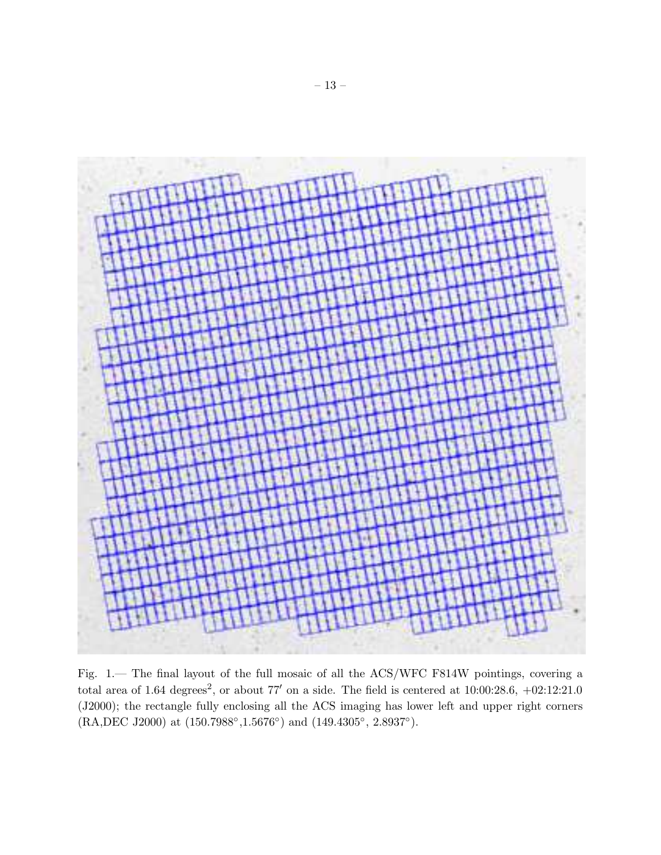

Fig. 1.— The final layout of the full mosaic of all the ACS/WFC F814W pointings, covering a total area of 1.64 degrees<sup>2</sup>, or about 77' on a side. The field is centered at  $10:00:28.6, +02:12:21.0$ (J2000); the rectangle fully enclosing all the ACS imaging has lower left and upper right corners (RA,DEC J2000) at (150.7988°,1.5676°) and (149.4305°, 2.8937°).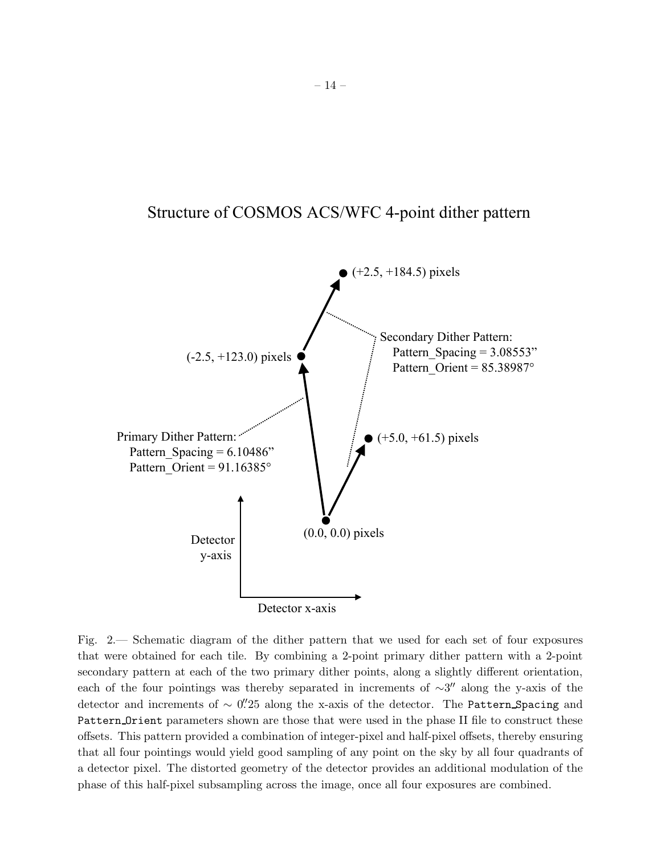# Structure of COSMOS ACS/WFC 4-point dither pattern



Fig. 2.— Schematic diagram of the dither pattern that we used for each set of four exposures that were obtained for each tile. By combining a 2-point primary dither pattern with a 2-point secondary pattern at each of the two primary dither points, along a slightly different orientation, each of the four pointings was thereby separated in increments of  $\sim$ 3" along the y-axis of the detector and increments of ~ 0". 25 along the x-axis of the detector. The Pattern Spacing and Pattern Orient parameters shown are those that were used in the phase II file to construct these offsets. This pattern provided a combination of integer-pixel and half-pixel offsets, thereby ensuring that all four pointings would yield good sampling of any point on the sky by all four quadrants of a detector pixel. The distorted geometry of the detector provides an additional modulation of the phase of this half-pixel subsampling across the image, once all four exposures are combined.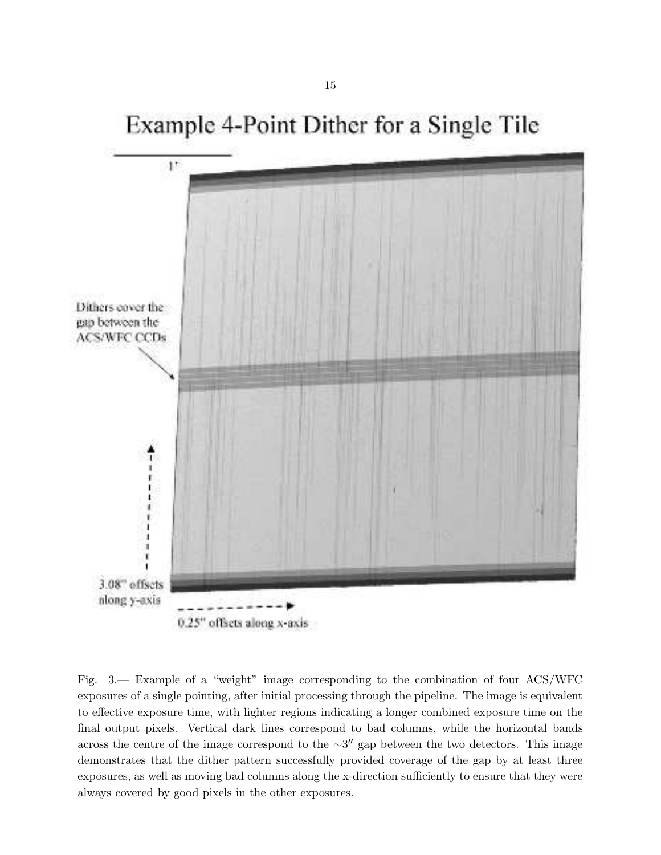![](_page_14_Figure_0.jpeg)

Example 4-Point Dither for a Single Tile

Fig. 3.— Example of a "weight" image corresponding to the combination of four ACS/WFC exposures of a single pointing, after initial processing through the pipeline. The image is equivalent to effective exposure time, with lighter regions indicating a longer combined exposure time on the final output pixels. Vertical dark lines correspond to bad columns, while the horizontal bands across the centre of the image correspond to the  $\sim 3''$  gap between the two detectors. This image demonstrates that the dither pattern successfully provided coverage of the gap by at least three exposures, as well as moving bad columns along the x-direction sufficiently to ensure that they were always covered by good pixels in the other exposures.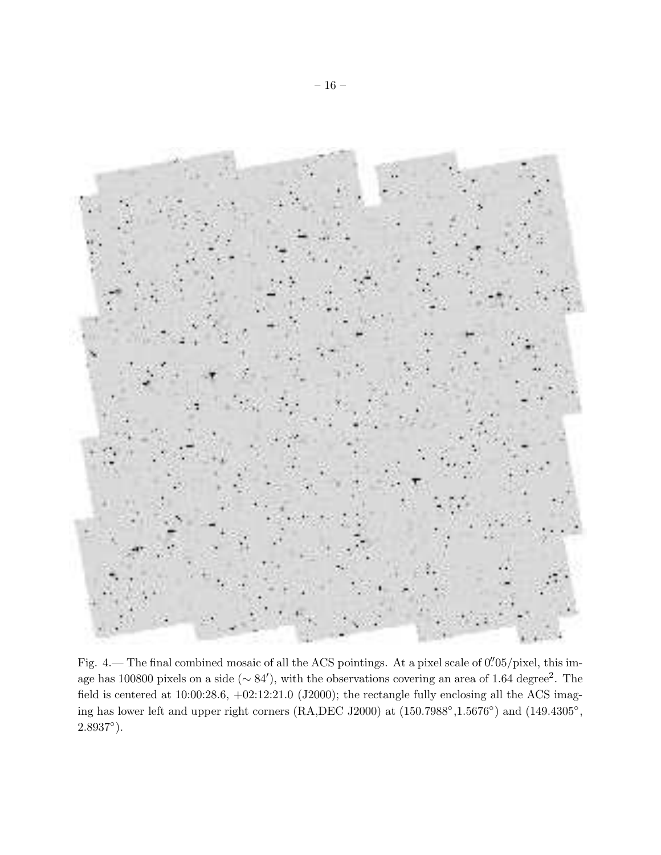![](_page_15_Picture_0.jpeg)

Fig. 4.— The final combined mosaic of all the ACS pointings. At a pixel scale of 0.  $0\frac{705}{pixel}$ , this image has 100800 pixels on a side (∼ 84'), with the observations covering an area of 1.64 degree<sup>2</sup>. The field is centered at  $10:00:28.6$ ,  $+02:12:21.0$  (J2000); the rectangle fully enclosing all the ACS imaging has lower left and upper right corners (RA,DEC J2000) at  $(150.7988°, 1.5676°)$  and  $(149.4305°,$  $2.8937°$ ).